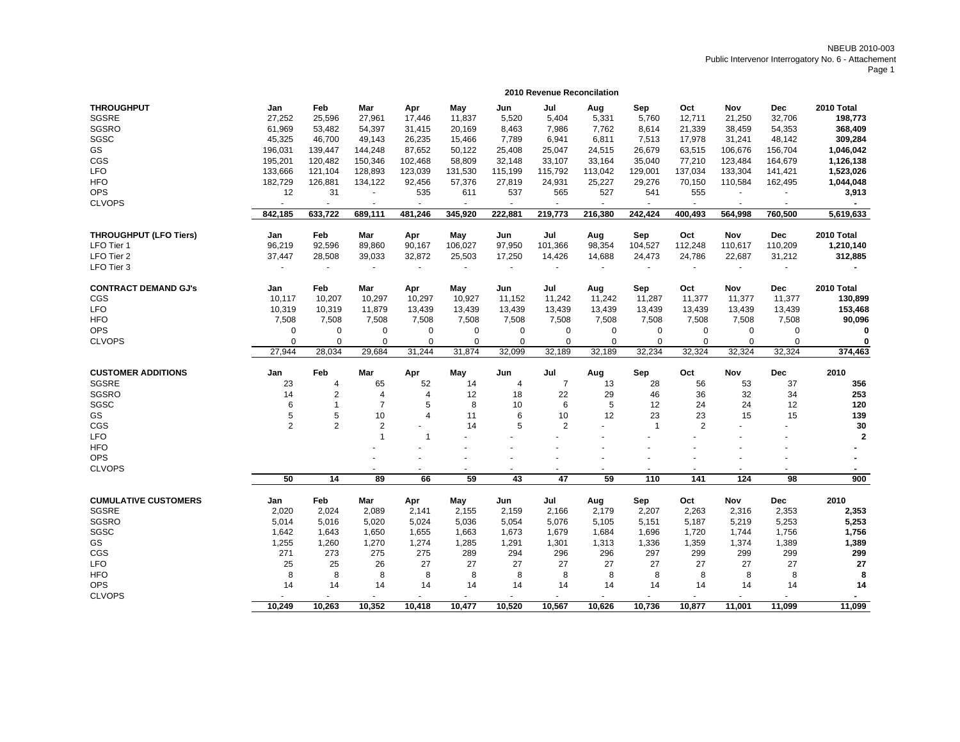| 2010 Total           |
|----------------------|
|                      |
| 198,773              |
| 368,409              |
| 309,284              |
| 1,046,042            |
| 1,126,138            |
| 1,523,026            |
| 1,044,048            |
| 3,913                |
|                      |
| 5,619,633            |
|                      |
| 2010 Total           |
| 1,210,140            |
| 312,885              |
|                      |
|                      |
| 2010 Total           |
| 130,899              |
| 153,468              |
| 90,096               |
| 0                    |
| 0                    |
| 374,463              |
|                      |
| 2010                 |
| 356                  |
| 253                  |
| 120                  |
| 139                  |
| 30                   |
| $\mathbf{2}$         |
|                      |
|                      |
| $\blacksquare$       |
| 900                  |
|                      |
| 2010                 |
| 2,353                |
| 5,253                |
| 1,756                |
|                      |
| 1,389                |
|                      |
| 299                  |
| 27                   |
| 8                    |
| 14<br>$\blacksquare$ |
|                      |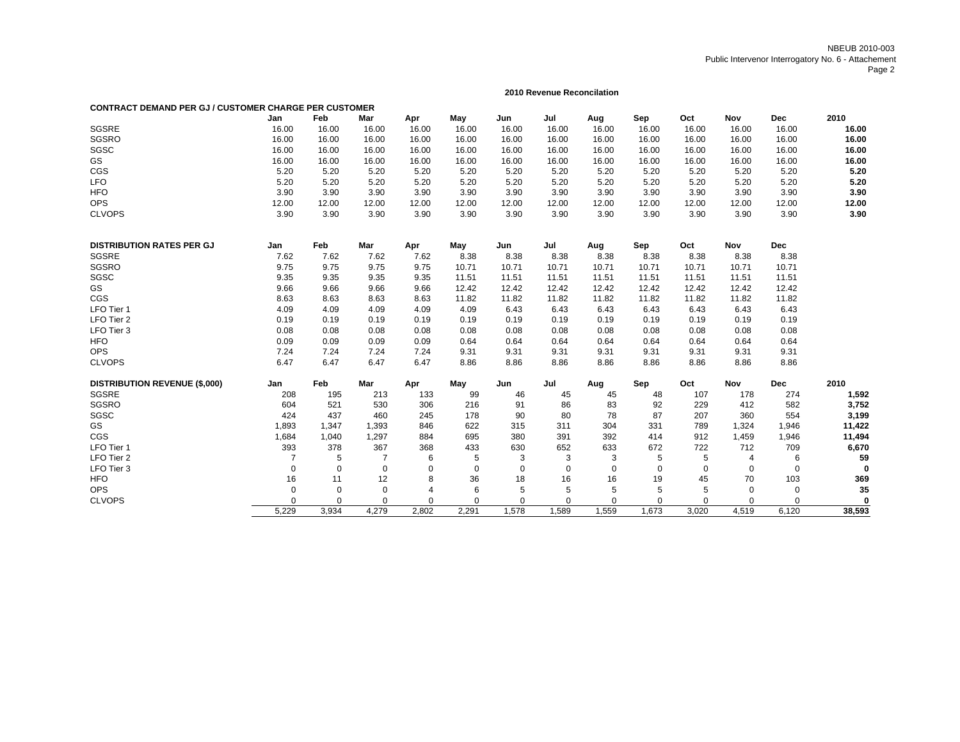# **2010 Revenue Reconcilation**

| <b>CONTRACT DEMAND PER GJ / CUSTOMER CHARGE PER CUSTOMER</b> |                |             |                |                |             |             |             |             |             |          |       |            |             |
|--------------------------------------------------------------|----------------|-------------|----------------|----------------|-------------|-------------|-------------|-------------|-------------|----------|-------|------------|-------------|
|                                                              | Jan            | Feb         | Mar            | Apr            | May         | Jun         | Jul         | Aug         | Sep         | Oct      | Nov   | <b>Dec</b> | 2010        |
| SGSRE                                                        | 16.00          | 16.00       | 16.00          | 16.00          | 16.00       | 16.00       | 16.00       | 16.00       | 16.00       | 16.00    | 16.00 | 16.00      | 16.00       |
| SGSRO                                                        | 16.00          | 16.00       | 16.00          | 16.00          | 16.00       | 16.00       | 16.00       | 16.00       | 16.00       | 16.00    | 16.00 | 16.00      | 16.00       |
| SGSC                                                         | 16.00          | 16.00       | 16.00          | 16.00          | 16.00       | 16.00       | 16.00       | 16.00       | 16.00       | 16.00    | 16.00 | 16.00      | 16.00       |
| GS                                                           | 16.00          | 16.00       | 16.00          | 16.00          | 16.00       | 16.00       | 16.00       | 16.00       | 16.00       | 16.00    | 16.00 | 16.00      | 16.00       |
| CGS                                                          | 5.20           | 5.20        | 5.20           | 5.20           | 5.20        | 5.20        | 5.20        | 5.20        | 5.20        | 5.20     | 5.20  | 5.20       | 5.20        |
| <b>LFO</b>                                                   | 5.20           | 5.20        | 5.20           | 5.20           | 5.20        | 5.20        | 5.20        | 5.20        | 5.20        | 5.20     | 5.20  | 5.20       | 5.20        |
| <b>HFO</b>                                                   | 3.90           | 3.90        | 3.90           | 3.90           | 3.90        | 3.90        | 3.90        | 3.90        | 3.90        | 3.90     | 3.90  | 3.90       | 3.90        |
| <b>OPS</b>                                                   | 12.00          | 12.00       | 12.00          | 12.00          | 12.00       | 12.00       | 12.00       | 12.00       | 12.00       | 12.00    | 12.00 | 12.00      | 12.00       |
| <b>CLVOPS</b>                                                | 3.90           | 3.90        | 3.90           | 3.90           | 3.90        | 3.90        | 3.90        | 3.90        | 3.90        | 3.90     | 3.90  | 3.90       | 3.90        |
| <b>DISTRIBUTION RATES PER GJ</b>                             | Jan            | Feb         | Mar            | Apr            | May         | Jun         | Jul         | Aug         | Sep         | Oct      | Nov   | <b>Dec</b> |             |
| SGSRE                                                        | 7.62           | 7.62        | 7.62           | 7.62           | 8.38        | 8.38        | 8.38        | 8.38        | 8.38        | 8.38     | 8.38  | 8.38       |             |
| <b>SGSRO</b>                                                 | 9.75           | 9.75        | 9.75           | 9.75           | 10.71       | 10.71       | 10.71       | 10.71       | 10.71       | 10.71    | 10.71 | 10.71      |             |
| SGSC                                                         | 9.35           | 9.35        | 9.35           | 9.35           | 11.51       | 11.51       | 11.51       | 11.51       | 11.51       | 11.51    | 11.51 | 11.51      |             |
| GS                                                           | 9.66           | 9.66        | 9.66           | 9.66           | 12.42       | 12.42       | 12.42       | 12.42       | 12.42       | 12.42    | 12.42 | 12.42      |             |
| CGS                                                          | 8.63           | 8.63        | 8.63           | 8.63           | 11.82       | 11.82       | 11.82       | 11.82       | 11.82       | 11.82    | 11.82 | 11.82      |             |
| LFO Tier 1                                                   | 4.09           | 4.09        | 4.09           | 4.09           | 4.09        | 6.43        | 6.43        | 6.43        | 6.43        | 6.43     | 6.43  | 6.43       |             |
| LFO Tier 2                                                   | 0.19           | 0.19        | 0.19           | 0.19           | 0.19        | 0.19        | 0.19        | 0.19        | 0.19        | 0.19     | 0.19  | 0.19       |             |
| LFO Tier 3                                                   | 0.08           | 0.08        | 0.08           | 0.08           | 0.08        | 0.08        | 0.08        | 0.08        | 0.08        | 0.08     | 0.08  | 0.08       |             |
| <b>HFO</b>                                                   | 0.09           | 0.09        | 0.09           | 0.09           | 0.64        | 0.64        | 0.64        | 0.64        | 0.64        | 0.64     | 0.64  | 0.64       |             |
| <b>OPS</b>                                                   | 7.24           | 7.24        | 7.24           | 7.24           | 9.31        | 9.31        | 9.31        | 9.31        | 9.31        | 9.31     | 9.31  | 9.31       |             |
| <b>CLVOPS</b>                                                | 6.47           | 6.47        | 6.47           | 6.47           | 8.86        | 8.86        | 8.86        | 8.86        | 8.86        | 8.86     | 8.86  | 8.86       |             |
| <b>DISTRIBUTION REVENUE (\$,000)</b>                         | Jan            | Feb         | Mar            | Apr            | May         | Jun         | Jul         | Aug         | Sep         | Oct      | Nov   | <b>Dec</b> | 2010        |
| SGSRE                                                        | 208            | 195         | 213            | 133            | 99          | 46          | 45          | 45          | 48          | 107      | 178   | 274        | 1,592       |
| SGSRO                                                        | 604            | 521         | 530            | 306            | 216         | 91          | 86          | 83          | 92          | 229      | 412   | 582        | 3,752       |
| SGSC                                                         | 424            | 437         | 460            | 245            | 178         | 90          | 80          | 78          | 87          | 207      | 360   | 554        | 3,199       |
| GS                                                           | 1,893          | 1,347       | 1,393          | 846            | 622         | 315         | 311         | 304         | 331         | 789      | 1,324 | 1,946      | 11,422      |
| CGS                                                          | 1,684          | 1,040       | 1,297          | 884            | 695         | 380         | 391         | 392         | 414         | 912      | 1,459 | 1,946      | 11,494      |
| LFO Tier 1                                                   | 393            | 378         | 367            | 368            | 433         | 630         | 652         | 633         | 672         | 722      | 712   | 709        | 6,670       |
| LFO Tier 2                                                   | $\overline{7}$ | 5           | $\overline{7}$ | 6              | 5           | 3           | 3           | 3           | 5           | 5        | 4     | 6          | 59          |
| LFO Tier 3                                                   | $\mathbf 0$    | $\mathbf 0$ | 0              | $\mathbf 0$    | $\mathbf 0$ | $\mathbf 0$ | $\mathbf 0$ | $\mathbf 0$ | $\mathbf 0$ | 0        | 0     | 0          |             |
| <b>HFO</b>                                                   | 16             | 11          | 12             | 8              | 36          | 18          | 16          | 16          | 19          | 45       | 70    | 103        | 369         |
| <b>OPS</b>                                                   | $\mathbf 0$    | 0           | $\mathbf 0$    | $\overline{4}$ | 6           | 5           | 5           | 5           | 5           | 5        | 0     | 0          | 35          |
| <b>CLVOPS</b>                                                | 0              | $\mathbf 0$ | $\mathbf 0$    | $\mathbf 0$    | $\Omega$    | $\mathbf 0$ | $\Omega$    | $\mathbf 0$ | $\mathbf 0$ | $\Omega$ | 0     | 0          | $\mathbf 0$ |
|                                                              | 5.229          | 3.934       | 4.279          | 2.802          | 2.291       | 1.578       | 1.589       | 1,559       | 1.673       | 3.020    | 4.519 | 6.120      | 38,593      |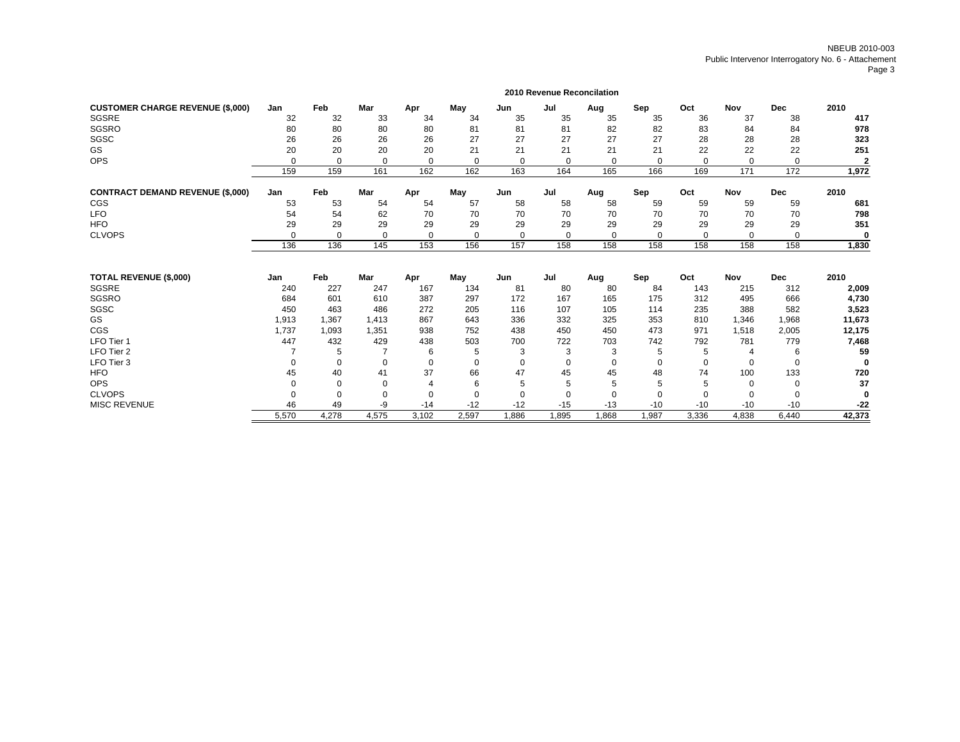|                                         |             |          |          |                |             |          | <b>2010 Revenue Reconcilation</b> |             |          |             |            |             |                |
|-----------------------------------------|-------------|----------|----------|----------------|-------------|----------|-----------------------------------|-------------|----------|-------------|------------|-------------|----------------|
| <b>CUSTOMER CHARGE REVENUE (\$,000)</b> | Jan         | Feb      | Mar      | Apr            | May         | Jun      | Jul                               | Aug         | Sep      | Oct         | <b>Nov</b> | <b>Dec</b>  | 2010           |
| SGSRE                                   | 32          | 32       | 33       | 34             | 34          | 35       | 35                                | 35          | 35       | 36          | 37         | 38          | 417            |
| SGSRO                                   | 80          | 80       | 80       | 80             | 81          | 81       | 81                                | 82          | 82       | 83          | 84         | 84          | 978            |
| SGSC                                    | 26          | 26       | 26       | 26             | 27          | 27       | 27                                | 27          | 27       | 28          | 28         | 28          | 323            |
| GS                                      | 20          | 20       | 20       | 20             | 21          | 21       | 21                                | 21          | 21       | 22          | 22         | 22          | 251            |
| <b>OPS</b>                              | $\Omega$    | 0        | $\Omega$ | 0              | $\Omega$    | 0        | $\Omega$                          | $\mathbf 0$ | 0        | $\Omega$    | $\Omega$   | 0           | $\overline{2}$ |
|                                         | 159         | 159      | 161      | 162            | 162         | 163      | 164                               | 165         | 166      | 169         | 171        | 172         | 1,972          |
| <b>CONTRACT DEMAND REVENUE (\$,000)</b> | Jan         | Feb      | Mar      | Apr            | May         | Jun      | Jul                               | Aug         | Sep      | Oct         | <b>Nov</b> | <b>Dec</b>  | 2010           |
| <b>CGS</b>                              | 53          | 53       | 54       | 54             | 57          | 58       | 58                                | 58          | 59       | 59          | 59         | 59          | 681            |
| <b>LFO</b>                              | 54          | 54       | 62       | 70             | 70          | 70       | 70                                | 70          | 70       | 70          | 70         | 70          | 798            |
| <b>HFO</b>                              | 29          | 29       | 29       | 29             | 29          | 29       | 29                                | 29          | 29       | 29          | 29         | 29          | 351            |
| <b>CLVOPS</b>                           | $\Omega$    | 0        | 0        | $\mathbf 0$    | $\Omega$    | 0        | $\Omega$                          | $\mathbf 0$ | $\Omega$ | $\Omega$    | $\Omega$   | $\Omega$    | 0              |
|                                         | 136         | 136      | 145      | 153            | 156         | 157      | 158                               | 158         | 158      | 158         | 158        | 158         | 1,830          |
| <b>TOTAL REVENUE (\$,000)</b>           | Jan         | Feb      | Mar      | Apr            | May         | Jun      | Jul                               |             | Sep      | Oct         | Nov        | <b>Dec</b>  | 2010           |
| <b>SGSRE</b>                            | 240         | 227      | 247      | 167            | 134         | 81       | 80                                | Aug<br>80   | 84       | 143         | 215        | 312         | 2,009          |
| <b>SGSRO</b>                            | 684         | 601      | 610      | 387            | 297         | 172      | 167                               | 165         | 175      | 312         | 495        | 666         | 4,730          |
| SGSC                                    | 450         | 463      | 486      | 272            | 205         | 116      | 107                               | 105         | 114      | 235         | 388        | 582         | 3,523          |
| GS                                      | 1,913       | 1,367    | 1,413    | 867            | 643         | 336      | 332                               | 325         | 353      | 810         | 1,346      | 1,968       | 11,673         |
| <b>CGS</b>                              | 1,737       | 1,093    | 1,351    | 938            | 752         | 438      | 450                               | 450         | 473      | 971         | 1,518      | 2,005       | 12,175         |
| LFO Tier 1                              | 447         | 432      | 429      | 438            | 503         | 700      | 722                               | 703         | 742      | 792         | 781        | 779         | 7,468          |
| LFO Tier 2                              |             | 5        |          | 6              | 5           | 3        | 3                                 | 3           | 5        | 5           | 4          | 6           | 59             |
| LFO Tier 3                              | $\mathbf 0$ | 0        | 0        | 0              | $\mathbf 0$ | 0        | $\mathbf 0$                       | $\mathbf 0$ | 0        | $\mathbf 0$ | 0          | $\mathbf 0$ | $\bf{0}$       |
| <b>HFO</b>                              | 45          | 40       | 41       | 37             | 66          | 47       | 45                                | 45          | 48       | 74          | 100        | 133         | 720            |
| <b>OPS</b>                              | $\Omega$    | $\Omega$ | $\Omega$ | $\overline{4}$ | 6           | 5        |                                   | 5           | 5        | 5           | $\Omega$   | 0           | 37             |
| <b>CLVOPS</b>                           | $\Omega$    | $\Omega$ | $\Omega$ | $\Omega$       | $\Omega$    | $\Omega$ | $\Omega$                          | $\Omega$    | $\Omega$ | $\Omega$    | $\Omega$   | $\Omega$    | 0              |
| <b>MISC REVENUE</b>                     | 46          | 49       | -9       | $-14$          | $-12$       | $-12$    | $-15$                             | $-13$       | $-10$    | $-10$       | $-10$      | $-10$       | $-22$          |
|                                         | 5.570       | 4.278    | 4.575    | 3.102          | 2.597       | 1.886    | .895                              | 1.868       | 1.987    | 3.336       | 4.838      | 6.440       | 42,373         |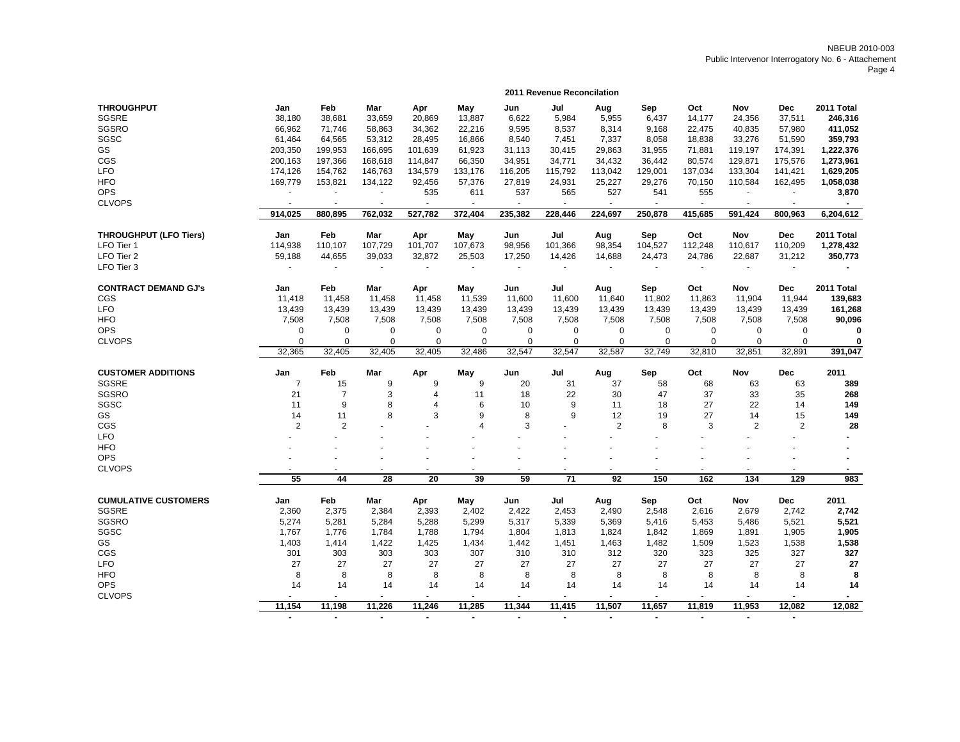|                               |                |                |                          |                          |                |                | 2011 Revenue Reconcilation |                |          |          |                          |                |                      |
|-------------------------------|----------------|----------------|--------------------------|--------------------------|----------------|----------------|----------------------------|----------------|----------|----------|--------------------------|----------------|----------------------|
| <b>THROUGHPUT</b>             | Jan            | Feb            | Mar                      | Apr                      | May            | Jun            | Jul                        | Aug            | Sep      | Oct      | Nov                      | <b>Dec</b>     | 2011 Total           |
| <b>SGSRE</b>                  | 38,180         | 38,681         | 33,659                   | 20,869                   | 13,887         | 6,622          | 5,984                      | 5,955          | 6,437    | 14,177   | 24,356                   | 37,511         | 246,316              |
| <b>SGSRO</b>                  | 66,962         | 71,746         | 58,863                   | 34,362                   | 22,216         | 9,595          | 8,537                      | 8,314          | 9,168    | 22,475   | 40,835                   | 57.980         | 411,052              |
| SGSC                          | 61,464         | 64,565         | 53,312                   | 28,495                   | 16,866         | 8,540          | 7,451                      | 7,337          | 8,058    | 18,838   | 33,276                   | 51,590         | 359,793              |
| GS                            | 203,350        | 199,953        | 166,695                  | 101,639                  | 61,923         | 31,113         | 30,415                     | 29,863         | 31,955   | 71,881   | 119,197                  | 174,391        | 1,222,376            |
| CGS                           | 200,163        | 197,366        | 168,618                  | 114,847                  | 66,350         | 34,951         | 34,771                     | 34,432         | 36,442   | 80,574   | 129,871                  | 175,576        | 1,273,961            |
| <b>LFO</b>                    | 174,126        | 154,762        | 146,763                  | 134,579                  | 133,176        | 116,205        | 115,792                    | 113,042        | 129,001  | 137,034  | 133,304                  | 141,421        | 1,629,205            |
| <b>HFO</b>                    | 169,779        | 153,821        | 134,122                  | 92,456                   | 57,376         | 27,819         | 24,931                     | 25,227         | 29,276   | 70,150   | 110,584                  | 162,495        | 1,058,038            |
| <b>OPS</b>                    |                | $\omega$       |                          | 535                      | 611            | 537            | 565                        | 527            | 541      | 555      |                          |                | 3,870                |
| <b>CLVOPS</b>                 |                |                |                          |                          |                | $\sim$         |                            |                | ÷,       | $\sim$   |                          |                |                      |
|                               | 914.025        | 880,895        | 762,032                  | 527,782                  | 372,404        | 235,382        | 228,446                    | 224,697        | 250.878  | 415,685  | 591.424                  | 800.963        | 6,204,612            |
|                               |                |                |                          |                          |                |                |                            |                |          |          |                          |                |                      |
| <b>THROUGHPUT (LFO Tiers)</b> | Jan            | Feb            | Mar                      | Apr                      | May            | Jun            | Jul                        | Aug            | Sep      | Oct      | <b>Nov</b>               | <b>Dec</b>     | 2011 Total           |
| LFO Tier 1                    | 114,938        | 110,107        | 107,729                  | 101,707                  | 107,673        | 98,956         | 101,366                    | 98,354         | 104,527  | 112,248  | 110,617                  | 110,209        | 1,278,432            |
| LFO Tier 2                    | 59,188         | 44,655         | 39,033                   | 32,872                   | 25,503         | 17,250         | 14,426                     | 14,688         | 24,473   | 24,786   | 22,687                   | 31,212         | 350,773              |
| LFO Tier 3                    |                | $\sim$         | $\mathbf{r}$             |                          | ÷.             | $\blacksquare$ |                            |                |          |          | $\overline{\phantom{a}}$ |                |                      |
| <b>CONTRACT DEMAND GJ's</b>   | Jan            | Feb            | Mar                      | Apr                      | May            | Jun            | Jul                        | Aug            | Sep      | Oct      | Nov                      | Dec            | 2011 Total           |
| CGS                           | 11,418         | 11,458         | 11,458                   | 11,458                   | 11,539         | 11,600         | 11,600                     | 11,640         | 11,802   | 11,863   | 11,904                   | 11,944         | 139,683              |
| <b>LFO</b>                    | 13,439         | 13,439         | 13,439                   | 13,439                   | 13,439         | 13,439         | 13,439                     | 13,439         | 13,439   | 13,439   | 13,439                   | 13,439         | 161,268              |
| <b>HFO</b>                    | 7,508          | 7,508          | 7,508                    | 7,508                    | 7,508          | 7,508          | 7,508                      | 7,508          | 7,508    | 7,508    | 7,508                    | 7,508          | 90,096               |
| <b>OPS</b>                    | 0              | 0              | 0                        | 0                        | $\mathbf 0$    | 0              | $\mathbf 0$                | 0              | 0        | 0        | 0                        | 0              | 0                    |
| <b>CLVOPS</b>                 | $\Omega$       | $\Omega$       | $\Omega$                 | $\Omega$                 | $\Omega$       | 0              | $\Omega$                   | $\mathbf 0$    | $\Omega$ | $\Omega$ | $\Omega$                 | 0              | 0                    |
|                               | 32,365         | 32,405         | 32,405                   | 32,405                   | 32,486         | 32,547         | 32,547                     | 32,587         | 32,749   | 32,810   | 32,851                   | 32,891         | 391,047              |
|                               |                |                |                          |                          |                |                |                            |                |          |          |                          |                |                      |
| <b>CUSTOMER ADDITIONS</b>     | Jan            | Feb            | Mar                      | Apr                      | May            | Jun            | Jul                        | Aug            | Sep      | Oct      | Nov                      | <b>Dec</b>     | 2011                 |
| SGSRE                         | $\overline{7}$ | 15             | 9                        | 9                        | 9              | 20             | 31                         | 37             | 58       | 68       | 63                       | 63             | 389                  |
| SGSRO                         | 21             | $\overline{7}$ | 3                        | 4                        | 11             | 18             | 22                         | 30             | 47       | 37       | 33                       | 35             | 268                  |
| SGSC                          | 11             | 9              | 8                        | $\overline{4}$           | 6              | 10             | 9                          | 11             | 18       | 27       | 22                       | 14             | 149                  |
| GS                            | 14             | 11             | 8                        | 3                        | 9              | 8              | 9                          | 12             | 19       | 27       | 14                       | 15             | 149                  |
| CGS                           | $\overline{2}$ | $\overline{2}$ |                          |                          | $\overline{4}$ | 3              |                            | $\overline{2}$ | 8        | 3        | $\overline{2}$           | $\overline{2}$ | 28                   |
| <b>LFO</b>                    |                |                |                          |                          |                |                |                            |                |          |          |                          |                |                      |
| <b>HFO</b>                    |                |                |                          |                          |                |                |                            |                |          |          |                          |                |                      |
| <b>OPS</b>                    |                |                |                          |                          |                | $\blacksquare$ |                            |                |          |          |                          |                |                      |
| <b>CLVOPS</b>                 | $\sim$         |                | $\overline{\phantom{a}}$ | $\overline{\phantom{a}}$ | ٠              | $\blacksquare$ |                            |                | $\sim$   | $\sim$   | $\overline{\phantom{a}}$ |                | $\blacksquare$       |
|                               | 55             | 44             | 28                       | 20                       | 39             | 59             | $\overline{71}$            | 92             | 150      | 162      | 134                      | 129            | 983                  |
| <b>CUMULATIVE CUSTOMERS</b>   | Jan            | Feb            | Mar                      | Apr                      | May            | Jun            | Jul                        | Aug            | Sep      | Oct      | Nov                      | <b>Dec</b>     | 2011                 |
| SGSRE                         | 2,360          | 2,375          | 2,384                    | 2,393                    | 2,402          | 2,422          | 2,453                      | 2,490          | 2,548    | 2,616    | 2,679                    | 2,742          | 2,742                |
| SGSRO                         | 5,274          | 5,281          | 5,284                    | 5,288                    | 5,299          | 5,317          | 5,339                      | 5,369          | 5,416    | 5,453    | 5,486                    | 5,521          | 5,521                |
| SGSC                          | 1,767          | 1,776          | 1,784                    | 1,788                    | 1,794          | 1,804          | 1,813                      | 1,824          | 1,842    | 1,869    | 1,891                    | 1,905          | 1,905                |
| GS                            | 1,403          | 1,414          | 1,422                    | 1,425                    | 1,434          | 1,442          | 1,451                      | 1,463          | 1,482    | 1,509    | 1,523                    | 1,538          | 1,538                |
| CGS                           | 301            | 303            | 303                      | 303                      | 307            | 310            | 310                        | 312            | 320      | 323      | 325                      | 327            | 327                  |
| <b>LFO</b>                    | 27             | 27             | 27                       | 27                       | 27             | 27             | 27                         | 27             | 27       | 27       | 27                       | 27             | 27                   |
|                               |                | 8              |                          |                          |                |                |                            |                |          |          |                          |                | 8                    |
| <b>HFO</b>                    | 8              |                | 8                        | 8                        | 8              | 8              | 8                          | 8              | 8        | 8        | 8                        | 8              |                      |
| <b>OPS</b>                    | 14             | 14<br>÷        | 14                       | 14                       | 14             | 14             | 14                         | 14             | 14       | 14       | 14<br>÷.                 | 14             | 14<br>$\blacksquare$ |
| <b>CLVOPS</b>                 |                |                | $\sim$                   | $\overline{a}$           | $\blacksquare$ | $\sim$         |                            | $\sim$         | $\sim$   | ÷.       |                          | $\blacksquare$ |                      |
|                               | 11,154         | 11,198         | 11,226                   | 11,246                   | 11,285         | 11,344         | 11,415                     | 11,507         | 11,657   | 11,819   | 11,953                   | 12,082         | 12,082               |

 **- - - - - - - - - - - -**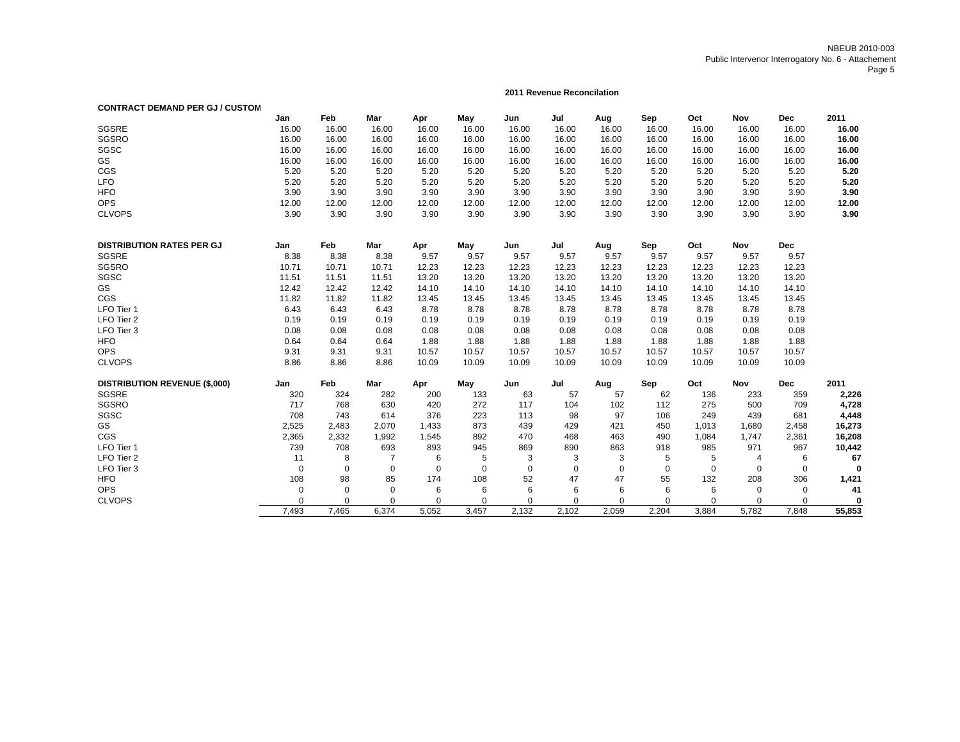### **2011 Revenue Reconcilation**

| <b>CONTRACT DEMAND PER GJ / CUSTOM</b> |             |                |                |             |          |             |             |             |             |             |             |             |             |
|----------------------------------------|-------------|----------------|----------------|-------------|----------|-------------|-------------|-------------|-------------|-------------|-------------|-------------|-------------|
|                                        | Jan         | Feb            | Mar            | Apr         | May      | Jun         | Jul         | Aug         | Sep         | Oct         | <b>Nov</b>  | <b>Dec</b>  | 2011        |
| <b>SGSRE</b>                           | 16.00       | 16.00          | 16.00          | 16.00       | 16.00    | 16.00       | 16.00       | 16.00       | 16.00       | 16.00       | 16.00       | 16.00       | 16.00       |
| <b>SGSRO</b>                           | 16.00       | 16.00          | 16.00          | 16.00       | 16.00    | 16.00       | 16.00       | 16.00       | 16.00       | 16.00       | 16.00       | 16.00       | 16.00       |
| SGSC                                   | 16.00       | 16.00          | 16.00          | 16.00       | 16.00    | 16.00       | 16.00       | 16.00       | 16.00       | 16.00       | 16.00       | 16.00       | 16.00       |
| GS                                     | 16.00       | 16.00          | 16.00          | 16.00       | 16.00    | 16.00       | 16.00       | 16.00       | 16.00       | 16.00       | 16.00       | 16.00       | 16.00       |
| CGS                                    | 5.20        | 5.20           | 5.20           | 5.20        | 5.20     | 5.20        | 5.20        | 5.20        | 5.20        | 5.20        | 5.20        | 5.20        | 5.20        |
| <b>LFO</b>                             | 5.20        | 5.20           | 5.20           | 5.20        | 5.20     | 5.20        | 5.20        | 5.20        | 5.20        | 5.20        | 5.20        | 5.20        | 5.20        |
| <b>HFO</b>                             | 3.90        | 3.90           | 3.90           | 3.90        | 3.90     | 3.90        | 3.90        | 3.90        | 3.90        | 3.90        | 3.90        | 3.90        | 3.90        |
| <b>OPS</b>                             | 12.00       | 12.00          | 12.00          | 12.00       | 12.00    | 12.00       | 12.00       | 12.00       | 12.00       | 12.00       | 12.00       | 12.00       | 12.00       |
| <b>CLVOPS</b>                          | 3.90        | 3.90           | 3.90           | 3.90        | 3.90     | 3.90        | 3.90        | 3.90        | 3.90        | 3.90        | 3.90        | 3.90        | 3.90        |
| <b>DISTRIBUTION RATES PER GJ</b>       | Jan         | Feb            | Mar            | Apr         | May      | Jun         | Jul         | Aug         | Sep         | Oct         | Nov         | <b>Dec</b>  |             |
| <b>SGSRE</b>                           | 8.38        | 8.38           | 8.38           | 9.57        | 9.57     | 9.57        | 9.57        | 9.57        | 9.57        | 9.57        | 9.57        | 9.57        |             |
| <b>SGSRO</b>                           | 10.71       | 10.71          | 10.71          | 12.23       | 12.23    | 12.23       | 12.23       | 12.23       | 12.23       | 12.23       | 12.23       | 12.23       |             |
| SGSC                                   | 11.51       | 11.51          | 11.51          | 13.20       | 13.20    | 13.20       | 13.20       | 13.20       | 13.20       | 13.20       | 13.20       | 13.20       |             |
| GS                                     | 12.42       | 12.42          | 12.42          | 14.10       | 14.10    | 14.10       | 14.10       | 14.10       | 14.10       | 14.10       | 14.10       | 14.10       |             |
| CGS                                    | 11.82       | 11.82          | 11.82          | 13.45       | 13.45    | 13.45       | 13.45       | 13.45       | 13.45       | 13.45       | 13.45       | 13.45       |             |
| LFO Tier 1                             | 6.43        | 6.43           | 6.43           | 8.78        | 8.78     | 8.78        | 8.78        | 8.78        | 8.78        | 8.78        | 8.78        | 8.78        |             |
| LFO Tier 2                             | 0.19        | 0.19           | 0.19           | 0.19        | 0.19     | 0.19        | 0.19        | 0.19        | 0.19        | 0.19        | 0.19        | 0.19        |             |
| LFO Tier 3                             | 0.08        | 0.08           | 0.08           | 0.08        | 0.08     | 0.08        | 0.08        | 0.08        | 0.08        | 0.08        | 0.08        | 0.08        |             |
| <b>HFO</b>                             | 0.64        | 0.64           | 0.64           | 1.88        | 1.88     | 1.88        | 1.88        | 1.88        | 1.88        | 1.88        | 1.88        | 1.88        |             |
| <b>OPS</b>                             | 9.31        | 9.31           | 9.31           | 10.57       | 10.57    | 10.57       | 10.57       | 10.57       | 10.57       | 10.57       | 10.57       | 10.57       |             |
| <b>CLVOPS</b>                          | 8.86        | 8.86           | 8.86           | 10.09       | 10.09    | 10.09       | 10.09       | 10.09       | 10.09       | 10.09       | 10.09       | 10.09       |             |
|                                        |             |                |                |             |          |             |             |             |             |             |             |             |             |
| <b>DISTRIBUTION REVENUE (\$,000)</b>   | Jan         | Feb            | Mar            | Apr         | May      | Jun         | Jul         | Aug         | Sep         | Oct         | Nov         | <b>Dec</b>  | 2011        |
| <b>SGSRE</b>                           | 320         | 324            | 282            | 200         | 133      | 63          | 57          | 57          | 62          | 136         | 233         | 359         | 2,226       |
| <b>SGSRO</b>                           | 717         | 768            | 630            | 420         | 272      | 117         | 104         | 102         | 112         | 275         | 500         | 709         | 4,728       |
| SGSC                                   | 708         | 743            | 614            | 376         | 223      | 113         | 98          | 97          | 106         | 249         | 439         | 681         | 4,448       |
| GS                                     | 2,525       | 2,483          | 2,070          | 1,433       | 873      | 439         | 429         | 421         | 450         | 1,013       | 1,680       | 2,458       | 16,273      |
| CGS                                    | 2,365       | 2,332          | 1,992          | 1,545       | 892      | 470         | 468         | 463         | 490         | 1,084       | 1,747       | 2,361       | 16,208      |
| LFO Tier 1                             | 739         | 708            | 693            | 893         | 945      | 869         | 890         | 863         | 918         | 985         | 971         | 967         | 10,442      |
| LFO Tier 2                             | 11          | 8              | $\overline{7}$ | 6           | 5        | 3           | 3           | 3           | 5           | 5           | 4           | 6           | 67          |
| LFO Tier 3                             | $\mathbf 0$ | $\mathbf 0$    | $\mathbf 0$    | $\mathbf 0$ | $\Omega$ | $\mathbf 0$ | $\mathbf 0$ | $\mathbf 0$ | $\mathbf 0$ | $\mathbf 0$ | $\mathbf 0$ | $\mathbf 0$ | 0           |
| <b>HFO</b>                             | 108         | 98             | 85             | 174         | 108      | 52          | 47          | 47          | 55          | 132         | 208         | 306         | 1,421       |
| <b>OPS</b>                             | 0           | $\mathbf 0$    | $\mathbf 0$    | 6           | 6        | 6           | 6           | 6           | 6           | 6           | 0           | $\mathbf 0$ | 41          |
| <b>CLVOPS</b>                          | 0           | $\overline{0}$ | $\mathbf 0$    | 0           | 0        | $\mathbf 0$ | $\mathbf 0$ | $\mathbf 0$ | 0           | $\Omega$    | 0           | $\mathbf 0$ | $\mathbf 0$ |
|                                        | 7.493       | 7.465          | 6.374          | 5.052       | 3.457    | 2.132       | 2.102       | 2.059       | 2.204       | 3.884       | 5.782       | 7,848       | 55,853      |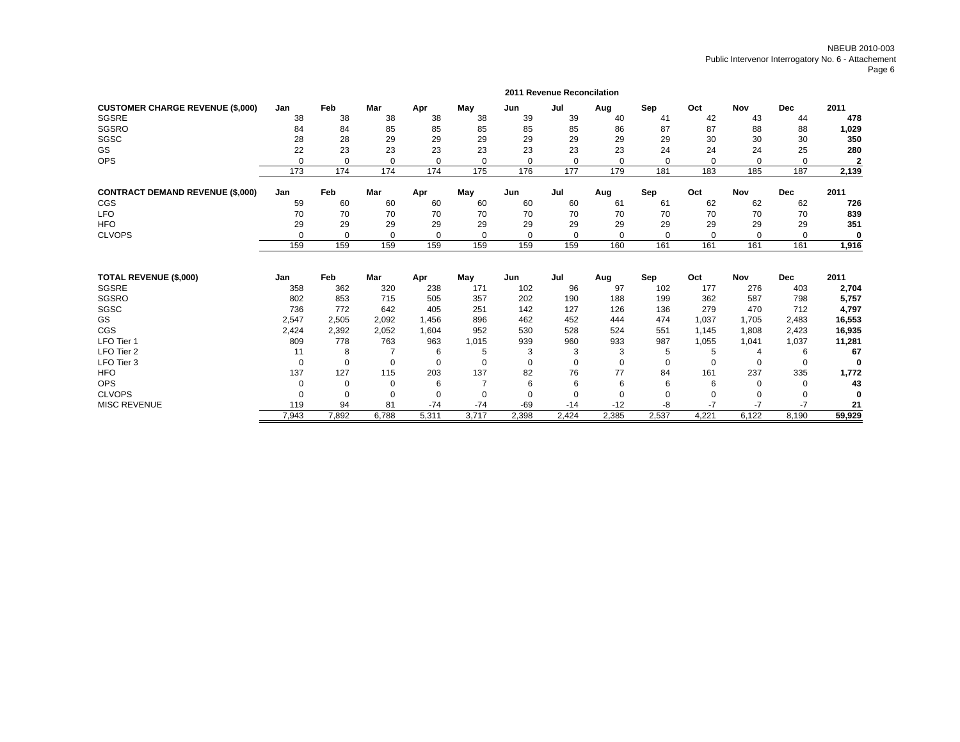|                                         |          |          |            |          |                |             | 2011 Revenue Reconcilation |             |          |          |            |            |                |
|-----------------------------------------|----------|----------|------------|----------|----------------|-------------|----------------------------|-------------|----------|----------|------------|------------|----------------|
| <b>CUSTOMER CHARGE REVENUE (\$,000)</b> | Jan      | Feb      | <b>Mar</b> | Apr      | May            | Jun         | Jul                        | Aug         | Sep      | Oct      | <b>Nov</b> | <b>Dec</b> | 2011           |
| SGSRE                                   | 38       | 38       | 38         | 38       | 38             | 39          | 39                         | 40          | 41       | 42       | 43         | 44         | 478            |
| SGSRO                                   | 84       | 84       | 85         | 85       | 85             | 85          | 85                         | 86          | 87       | 87       | 88         | 88         | 1,029          |
| SGSC                                    | 28       | 28       | 29         | 29       | 29             | 29          | 29                         | 29          | 29       | 30       | 30         | 30         | 350            |
| GS                                      | 22       | 23       | 23         | 23       | 23             | 23          | 23                         | 23          | 24       | 24       | 24         | 25         | 280            |
| <b>OPS</b>                              | $\Omega$ | 0        | $\Omega$   | 0        | $\Omega$       | 0           | $\mathbf 0$                | 0           | $\Omega$ | 0        | 0          | 0          | $\overline{2}$ |
|                                         | 173      | 174      | 174        | 174      | 175            | 176         | 177                        | 179         | 181      | 183      | 185        | 187        | 2,139          |
| <b>CONTRACT DEMAND REVENUE (\$,000)</b> | Jan      | Feb      | Mar        | Apr      | May            | Jun         | Jul                        | Aug         | Sep      | Oct      | <b>Nov</b> | <b>Dec</b> | 2011           |
| CGS                                     | 59       | 60       | 60         | 60       | 60             | 60          | 60                         | 61          | 61       | 62       | 62         | 62         | 726            |
| <b>LFO</b>                              | 70       | 70       | 70         | 70       | 70             | 70          | 70                         | 70          | 70       | 70       | 70         | 70         | 839            |
| <b>HFO</b>                              | 29       | 29       | 29         | 29       | 29             | 29          | 29                         | 29          | 29       | 29       | 29         | 29         | 351            |
| <b>CLVOPS</b>                           | $\Omega$ | $\Omega$ | $\Omega$   | $\Omega$ | $\Omega$       | 0           | $\Omega$                   | $\Omega$    | $\Omega$ | $\Omega$ | $\Omega$   | $\Omega$   | $\bf{0}$       |
|                                         | 159      | 159      | 159        | 159      | 159            | 159         | 159                        | 160         | 161      | 161      | 161        | 161        | 1,916          |
| <b>TOTAL REVENUE (\$,000)</b>           | Jan      | Feb      | Mar        | Apr      | May            | Jun         | Jul                        | Aug         | Sep      | Oct      | Nov        | <b>Dec</b> | 2011           |
| SGSRE                                   | 358      | 362      | 320        | 238      | 171            | 102         | 96                         | 97          | 102      | 177      | 276        | 403        | 2,704          |
| SGSRO                                   | 802      | 853      | 715        | 505      | 357            | 202         | 190                        | 188         | 199      | 362      | 587        | 798        | 5,757          |
| SGSC                                    | 736      | 772      | 642        | 405      | 251            | 142         | 127                        | 126         | 136      | 279      | 470        | 712        | 4,797          |
| GS                                      | 2,547    | 2,505    | 2,092      | 1,456    | 896            | 462         | 452                        | 444         | 474      | 1,037    | 1.705      | 2,483      | 16,553         |
| CGS                                     | 2,424    | 2,392    | 2,052      | 1,604    | 952            | 530         | 528                        | 524         | 551      | 1,145    | 1,808      | 2,423      | 16,935         |
| LFO Tier 1                              | 809      | 778      | 763        | 963      | 1,015          | 939         | 960                        | 933         | 987      | 1,055    | 1,041      | 1,037      | 11,281         |
| LFO Tier 2                              | 11       | 8        |            | 6        | 5              | 3           | 3                          | 3           | 5        | 5        | 4          | 6          | 67             |
| LFO Tier 3                              | $\Omega$ | $\Omega$ | $\Omega$   | $\Omega$ | $\Omega$       | $\Omega$    | $\Omega$                   | $\Omega$    | $\Omega$ | $\Omega$ | 0          | $\Omega$   | $\bf{0}$       |
| <b>HFO</b>                              | 137      | 127      | 115        | 203      | 137            | 82          | 76                         | 77          | 84       | 161      | 237        | 335        | 1,772          |
| <b>OPS</b>                              | $\Omega$ | $\Omega$ | 0          | 6        | $\overline{7}$ | 6           | 6                          | 6           | 6        | 6        | 0          | $\Omega$   | 43             |
| <b>CLVOPS</b>                           | $\Omega$ | 0        | 0          | 0        | $\Omega$       | $\mathbf 0$ | $\mathbf 0$                | $\mathbf 0$ |          | $\Omega$ | 0          | 0          | $\Omega$       |
| <b>MISC REVENUE</b>                     | 119      | 94       | 81         | $-74$    | $-74$          | $-69$       | $-14$                      | $-12$       | -8       | $-7$     | $-7$       | $-7$       | 21             |
|                                         | 7,943    | 7,892    | 6,788      | 5,311    | 3,717          | 2,398       | 2,424                      | 2,385       | 2,537    | 4,221    | 6,122      | 8,190      | 59,929         |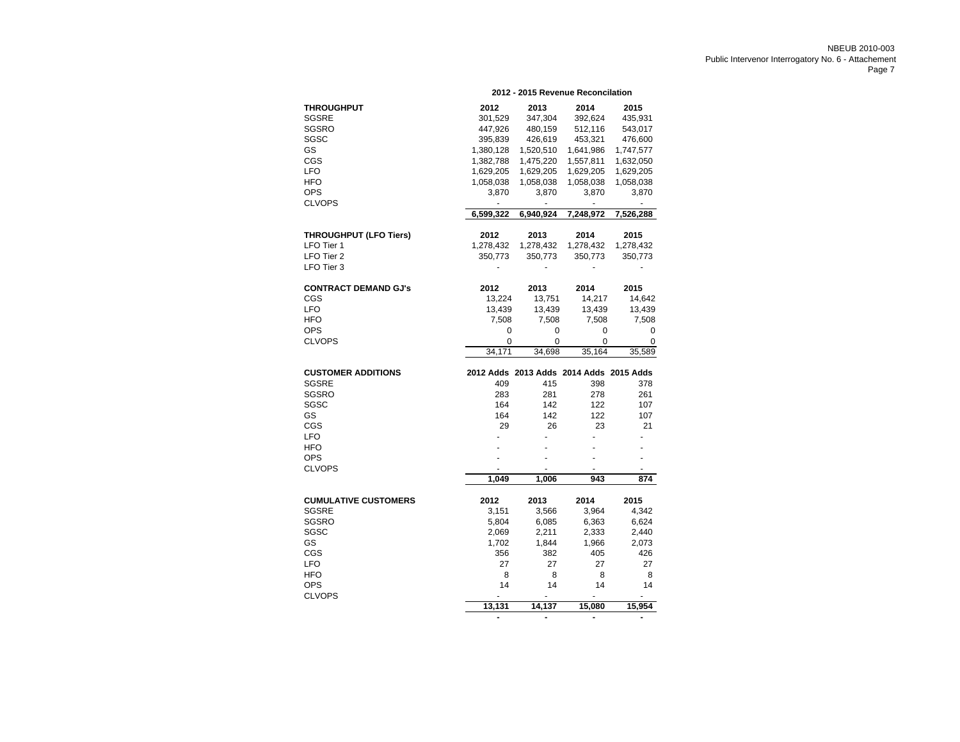|                             |                                         |                | 2012 - 2015 Revenue Reconcilation |                          |
|-----------------------------|-----------------------------------------|----------------|-----------------------------------|--------------------------|
| <b>THROUGHPUT</b>           | 2012                                    | 2013           | 2014                              | 2015                     |
| SGSRE                       | 301,529                                 | 347,304        | 392,624                           | 435,931                  |
| SGSRO                       | 447,926                                 | 480,159        | 512,116                           | 543,017                  |
| SGSC                        | 395,839                                 | 426,619        | 453,321                           | 476,600                  |
| GS                          | 1,380,128                               | 1,520,510      | 1,641,986                         | 1,747,577                |
| CGS                         | 1,382,788                               | 1,475,220      | 1,557,811                         | 1,632,050                |
| LFO                         | 1,629,205                               | 1,629,205      | 1,629,205                         | 1,629,205                |
| <b>HFO</b>                  | 1,058,038                               | 1,058,038      | 1,058,038                         | 1,058,038                |
| <b>OPS</b>                  | 3,870                                   | 3,870          | 3,870                             | 3,870                    |
| <b>CLVOPS</b>               |                                         | $\blacksquare$ | ä,                                | $\overline{\phantom{a}}$ |
|                             | 6,599,322                               | 6,940,924      | 7,248,972                         | 7,526,288                |
| THROUGHPUT (LFO Tiers)      | 2012                                    | 2013           | 2014                              | 2015                     |
| LFO Tier 1                  | 1,278,432                               | 1,278,432      | 1,278,432                         | 1,278,432                |
| LFO Tier 2                  | 350,773                                 | 350,773        | 350,773                           | 350,773                  |
| LFO Tier 3                  |                                         |                |                                   |                          |
|                             |                                         |                |                                   |                          |
| <b>CONTRACT DEMAND GJ's</b> | 2012                                    | 2013           | 2014                              | 2015                     |
| CGS                         | 13,224                                  | 13,751         | 14,217                            | 14,642                   |
| <b>LFO</b>                  | 13,439                                  | 13,439         | 13,439                            | 13,439                   |
| <b>HFO</b>                  | 7,508                                   | 7,508          | 7,508                             | 7,508                    |
| <b>OPS</b>                  | 0                                       | 0              | 0                                 | 0                        |
| <b>CLVOPS</b>               | 0                                       | 0              | 0                                 | 0                        |
|                             | 34,171                                  | 34,698         | 35,164                            | 35,589                   |
| <b>CUSTOMER ADDITIONS</b>   | 2012 Adds 2013 Adds 2014 Adds 2015 Adds |                |                                   |                          |
| <b>SGSRE</b>                | 409                                     | 415            | 398                               | 378                      |
| SGSRO                       | 283                                     | 281            | 278                               | 261                      |
| SGSC                        | 164                                     | 142            | 122                               | 107                      |
| GS                          | 164                                     | 142            | 122                               | 107                      |
| CGS                         | 29                                      | 26             | 23                                | 21                       |
| <b>LFO</b>                  |                                         |                |                                   |                          |
| HFO                         |                                         |                |                                   |                          |
| <b>OPS</b>                  |                                         |                |                                   | ä,                       |
| <b>CLVOPS</b>               |                                         |                |                                   |                          |
|                             | 1,049                                   | 1,006          | 943                               | 874                      |
| <b>CUMULATIVE CUSTOMERS</b> | 2012                                    | 2013           | 2014                              | 2015                     |
| <b>SGSRE</b>                | 3,151                                   | 3,566          | 3,964                             | 4,342                    |
| SGSRO                       | 5,804                                   | 6,085          | 6,363                             | 6,624                    |
| SGSC                        | 2,069                                   | 2,211          | 2,333                             | 2,440                    |
| GS                          | 1,702                                   | 1,844          | 1,966                             | 2,073                    |
| CGS                         | 356                                     | 382            | 405                               | 426                      |
| <b>LFO</b>                  | 27                                      | 27             | 27                                | 27                       |
| <b>HFO</b>                  | 8                                       | 8              | 8                                 | 8                        |
| OPS                         | 14                                      | 14             | 14                                | 14                       |
| <b>CLVOPS</b>               |                                         |                |                                   |                          |
|                             | 13,131                                  | 14,137         | 15,080                            | 15,954                   |
|                             |                                         |                | -                                 |                          |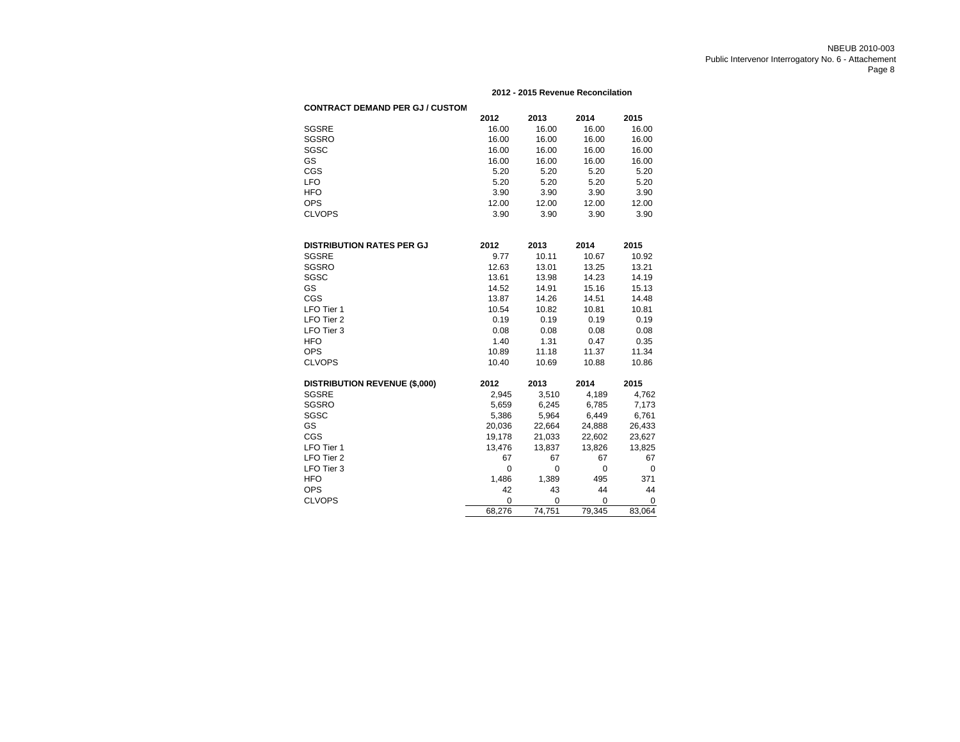#### **2012 - 2015 Revenue Reconcilation**

| <b>CONTRACT DEMAND PER GJ / CUSTOM</b> |             |             |             |        |
|----------------------------------------|-------------|-------------|-------------|--------|
|                                        | 2012        | 2013        | 2014        | 2015   |
| <b>SGSRE</b>                           | 16.00       | 16.00       | 16.00       | 16.00  |
| SGSRO                                  | 16.00       | 16.00       | 16.00       | 16.00  |
| SGSC                                   | 16.00       | 16.00       | 16.00       | 16.00  |
| GS                                     | 16.00       | 16.00       | 16.00       | 16.00  |
| CGS                                    | 5.20        | 5.20        | 5.20        | 5.20   |
| <b>LFO</b>                             | 5.20        | 5.20        | 5.20        | 5.20   |
| <b>HFO</b>                             | 3.90        | 3.90        | 3.90        | 3.90   |
| <b>OPS</b>                             | 12.00       | 12.00       | 12.00       | 12.00  |
| <b>CLVOPS</b>                          | 3.90        | 3.90        | 3.90        | 3.90   |
| <b>DISTRIBUTION RATES PER GJ</b>       | 2012        | 2013        | 2014        | 2015   |
| <b>SGSRE</b>                           | 9.77        | 10.11       | 10.67       | 10.92  |
| SGSRO                                  | 12.63       | 13.01       | 13.25       | 13.21  |
| SGSC                                   | 13.61       | 13.98       | 14.23       | 14.19  |
| GS                                     | 14.52       | 14.91       | 15.16       | 15.13  |
| CGS                                    | 13.87       | 14.26       | 14.51       | 14.48  |
| LFO Tier 1                             | 10.54       | 10.82       | 10.81       | 10.81  |
| LFO Tier 2                             | 0.19        | 0.19        | 0.19        | 0.19   |
| LFO Tier 3                             | 0.08        | 0.08        | 0.08        | 0.08   |
| <b>HFO</b>                             | 1.40        | 1.31        | 0.47        | 0.35   |
| <b>OPS</b>                             | 10.89       | 11.18       | 11.37       | 11.34  |
| <b>CLVOPS</b>                          | 10.40       | 10.69       | 10.88       | 10.86  |
| <b>DISTRIBUTION REVENUE (\$,000)</b>   | 2012        | 2013        | 2014        | 2015   |
| <b>SGSRE</b>                           | 2,945       | 3,510       | 4,189       | 4,762  |
| SGSRO                                  | 5,659       | 6,245       | 6,785       | 7,173  |
| SGSC                                   | 5,386       | 5,964       | 6,449       | 6,761  |
| GS                                     | 20,036      | 22,664      | 24,888      | 26,433 |
| CGS                                    | 19,178      | 21,033      | 22,602      | 23,627 |
| LFO Tier 1                             | 13,476      | 13,837      | 13,826      | 13,825 |
| LFO Tier 2                             | 67          | 67          | 67          | 67     |
| LFO Tier 3                             | $\mathbf 0$ | 0           | $\mathbf 0$ | 0      |
| <b>HFO</b>                             | 1,486       | 1,389       | 495         | 371    |
| <b>OPS</b>                             | 42          | 43          | 44          | 44     |
| <b>CLVOPS</b>                          | 0           | $\mathbf 0$ | $\mathbf 0$ | 0      |
|                                        | 68,276      | 74,751      | 79,345      | 83,064 |